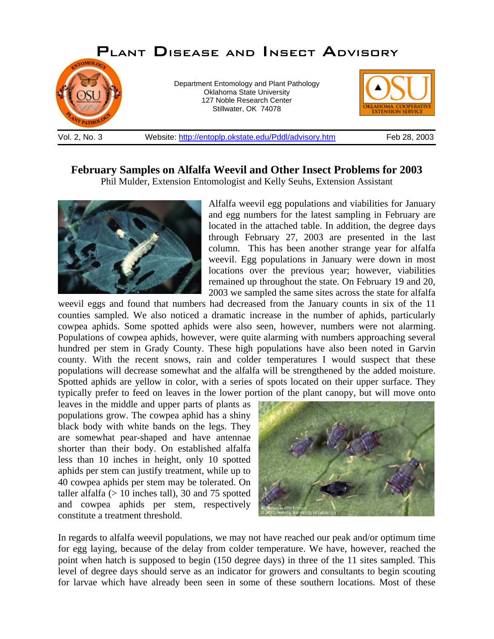

**February Samples on Alfalfa Weevil and Other Insect Problems for 2003**

Phil Mulder, Extension Entomologist and Kelly Seuhs, Extension Assistant



Alfalfa weevil egg populations and viabilities for January and egg numbers for the latest sampling in February are located in the attached table. In addition, the degree days through February 27, 2003 are presented in the last column. This has been another strange year for alfalfa weevil. Egg populations in January were down in most locations over the previous year; however, viabilities remained up throughout the state. On February 19 and 20, 2003 we sampled the same sites across the state for alfalfa

weevil eggs and found that numbers had decreased from the January counts in six of the 11 counties sampled. We also noticed a dramatic increase in the number of aphids, particularly cowpea aphids. Some spotted aphids were also seen, however, numbers were not alarming. Populations of cowpea aphids, however, were quite alarming with numbers approaching several hundred per stem in Grady County. These high populations have also been noted in Garvin county. With the recent snows, rain and colder temperatures I would suspect that these populations will decrease somewhat and the alfalfa will be strengthened by the added moisture. Spotted aphids are yellow in color, with a series of spots located on their upper surface. They typically prefer to feed on leaves in the lower portion of the plant canopy, but will move onto

leaves in the middle and upper parts of plants as populations grow. The cowpea aphid has a shiny black body with white bands on the legs. They are somewhat pear-shaped and have antennae shorter than their body. On established alfalfa less than 10 inches in height, only 10 spotted aphids per stem can justify treatment, while up to 40 cowpea aphids per stem may be tolerated. On taller alfalfa  $(> 10$  inches tall), 30 and 75 spotted and cowpea aphids per stem, respectively constitute a treatment threshold.



In regards to alfalfa weevil populations, we may not have reached our peak and/or optimum time for egg laying, because of the delay from colder temperature. We have, however, reached the point when hatch is supposed to begin (150 degree days) in three of the 11 sites sampled. This level of degree days should serve as an indicator for growers and consultants to begin scouting for larvae which have already been seen in some of these southern locations. Most of these